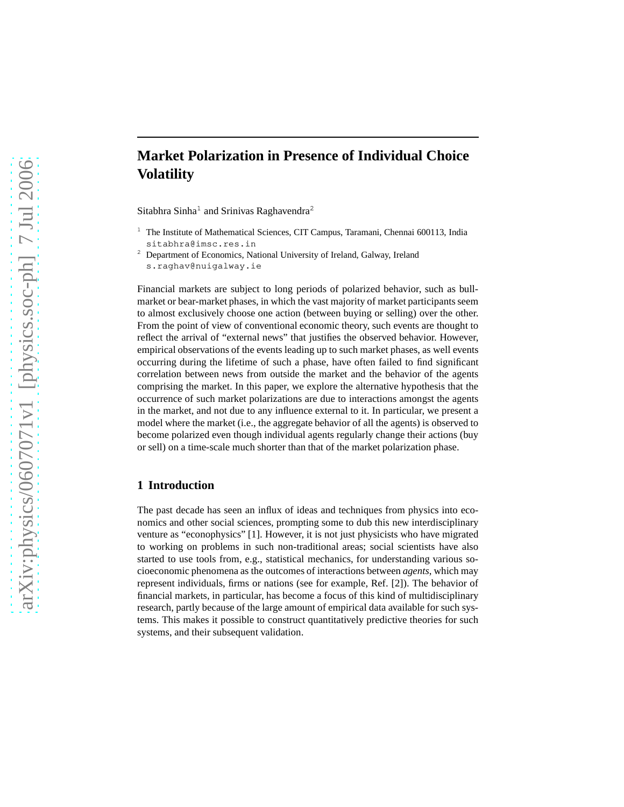# **Market Polarization in Presence of Individual Choice Volatility**

Sitabhra Sinha<sup>1</sup> and Srinivas Raghavendra<sup>2</sup>

<sup>2</sup> Department of Economics, National University of Ireland, Galway, Ireland s.raghav@nuigalway.ie

Financial markets are subject to long periods of polarized behavior, such as bullmarket or bear-market phases, in which the vast majority of market participants seem to almost exclusively choose one action (between buying or selling) over the other. From the point of view of conventional economic theory, such events are thought to reflect the arrival of "external news" that justifies the observed behavior. However, empirical observations of the events leading up to such market phases, as well events occurring during the lifetime of such a phase, have often failed to find significant correlation between news from outside the market and the behavior of the agents comprising the market. In this paper, we explore the alternative hypothesis that the occurrence of such market polarizations are due to interactions amongst the agents in the market, and not due to any influence external to it. In particular, we present a model where the market (i.e., the aggregate behavior of all the agents) is observed to become polarized even though individual agents regularly change their actions (buy or sell) on a time-scale much shorter than that of the market polarization phase.

# **1 Introduction**

The past decade has seen an influx of ideas and techniques from physics into economics and other social sciences, prompting some to dub this new interdisciplinary venture as "econophysics" [1]. However, it is not just physicists who have migrated to working on problems in such non-traditional areas; social scientists have also started to use tools from, e.g., statistical mechanics, for understanding various socioeconomic phenomena as the outcomes of interactions between *agents*, which may represent individuals, firms or nations (see for example, Ref. [2]). The behavior of financial markets, in particular, has become a focus of this kind of multidisciplinary research, partly because of the large amount of empirical data available for such systems. This makes it possible to construct quantitatively predictive theories for such systems, and their subsequent validation.

 $1$  The Institute of Mathematical Sciences, CIT Campus, Taramani, Chennai 600113, India sitabhra@imsc.res.in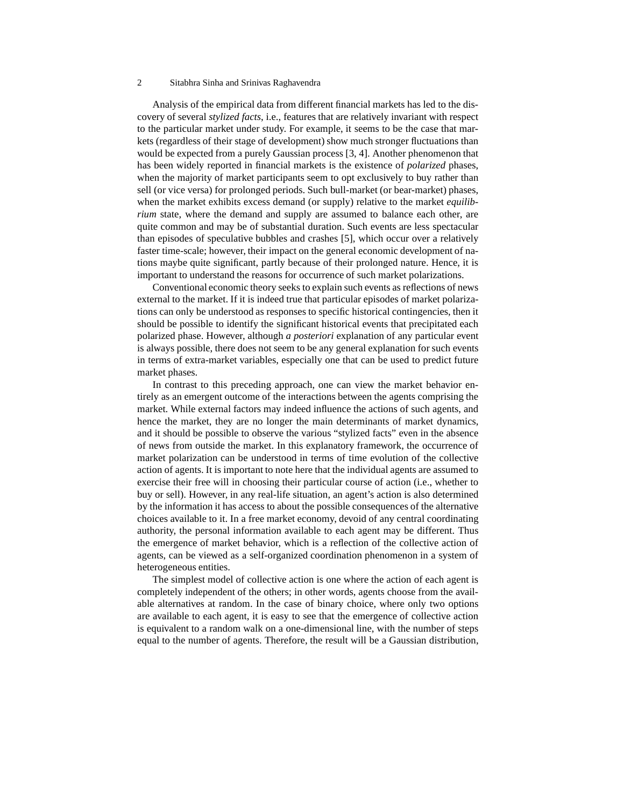## 2 Sitabhra Sinha and Srinivas Raghavendra

Analysis of the empirical data from different financial markets has led to the discovery of several *stylized facts*, i.e., features that are relatively invariant with respect to the particular market under study. For example, it seems to be the case that markets (regardless of their stage of development) show much stronger fluctuations than would be expected from a purely Gaussian process [3, 4]. Another phenomenon that has been widely reported in financial markets is the existence of *polarized* phases, when the majority of market participants seem to opt exclusively to buy rather than sell (or vice versa) for prolonged periods. Such bull-market (or bear-market) phases, when the market exhibits excess demand (or supply) relative to the market *equilibrium* state, where the demand and supply are assumed to balance each other, are quite common and may be of substantial duration. Such events are less spectacular than episodes of speculative bubbles and crashes [5], which occur over a relatively faster time-scale; however, their impact on the general economic development of nations maybe quite significant, partly because of their prolonged nature. Hence, it is important to understand the reasons for occurrence of such market polarizations.

Conventional economic theory seeks to explain such events as reflections of news external to the market. If it is indeed true that particular episodes of market polarizations can only be understood as responses to specific historical contingencies, then it should be possible to identify the significant historical events that precipitated each polarized phase. However, although *a posteriori* explanation of any particular event is always possible, there does not seem to be any general explanation for such events in terms of extra-market variables, especially one that can be used to predict future market phases.

In contrast to this preceding approach, one can view the market behavior entirely as an emergent outcome of the interactions between the agents comprising the market. While external factors may indeed influence the actions of such agents, and hence the market, they are no longer the main determinants of market dynamics, and it should be possible to observe the various "stylized facts" even in the absence of news from outside the market. In this explanatory framework, the occurrence of market polarization can be understood in terms of time evolution of the collective action of agents. It is important to note here that the individual agents are assumed to exercise their free will in choosing their particular course of action (i.e., whether to buy or sell). However, in any real-life situation, an agent's action is also determined by the information it has access to about the possible consequences of the alternative choices available to it. In a free market economy, devoid of any central coordinating authority, the personal information available to each agent may be different. Thus the emergence of market behavior, which is a reflection of the collective action of agents, can be viewed as a self-organized coordination phenomenon in a system of heterogeneous entities.

The simplest model of collective action is one where the action of each agent is completely independent of the others; in other words, agents choose from the available alternatives at random. In the case of binary choice, where only two options are available to each agent, it is easy to see that the emergence of collective action is equivalent to a random walk on a one-dimensional line, with the number of steps equal to the number of agents. Therefore, the result will be a Gaussian distribution,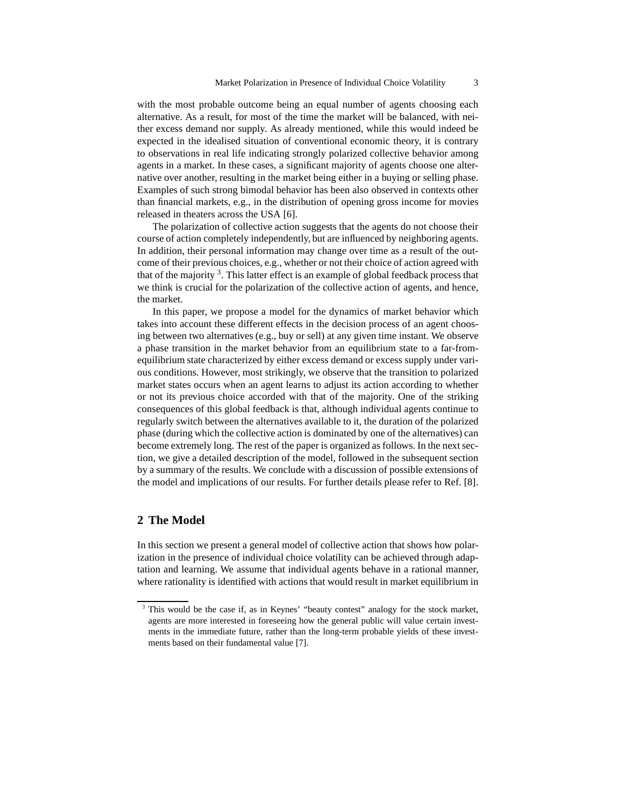with the most probable outcome being an equal number of agents choosing each alternative. As a result, for most of the time the market will be balanced, with neither excess demand nor supply. As already mentioned, while this would indeed be expected in the idealised situation of conventional economic theory, it is contrary to observations in real life indicating strongly polarized collective behavior among agents in a market. In these cases, a significant majority of agents choose one alternative over another, resulting in the market being either in a buying or selling phase. Examples of such strong bimodal behavior has been also observed in contexts other than financial markets, e.g., in the distribution of opening gross income for movies released in theaters across the USA [6].

The polarization of collective action suggests that the agents do not choose their course of action completely independently, but are influenced by neighboring agents. In addition, their personal information may change over time as a result of the outcome of their previous choices, e.g., whether or not their choice of action agreed with that of the majority<sup>3</sup>. This latter effect is an example of global feedback process that we think is crucial for the polarization of the collective action of agents, and hence, the market.

In this paper, we propose a model for the dynamics of market behavior which takes into account these different effects in the decision process of an agent choosing between two alternatives (e.g., buy or sell) at any given time instant. We observe a phase transition in the market behavior from an equilibrium state to a far-fromequilibrium state characterized by either excess demand or excess supply under various conditions. However, most strikingly, we observe that the transition to polarized market states occurs when an agent learns to adjust its action according to whether or not its previous choice accorded with that of the majority. One of the striking consequences of this global feedback is that, although individual agents continue to regularly switch between the alternatives available to it, the duration of the polarized phase (during which the collective action is dominated by one of the alternatives) can become extremely long. The rest of the paper is organized as follows. In the next section, we give a detailed description of the model, followed in the subsequent section by a summary of the results. We conclude with a discussion of possible extensions of the model and implications of our results. For further details please refer to Ref. [8].

# **2 The Model**

In this section we present a general model of collective action that shows how polarization in the presence of individual choice volatility can be achieved through adaptation and learning. We assume that individual agents behave in a rational manner, where rationality is identified with actions that would result in market equilibrium in

<sup>&</sup>lt;sup>3</sup> This would be the case if, as in Keynes' "beauty contest" analogy for the stock market, agents are more interested in foreseeing how the general public will value certain investments in the immediate future, rather than the long-term probable yields of these investments based on their fundamental value [7].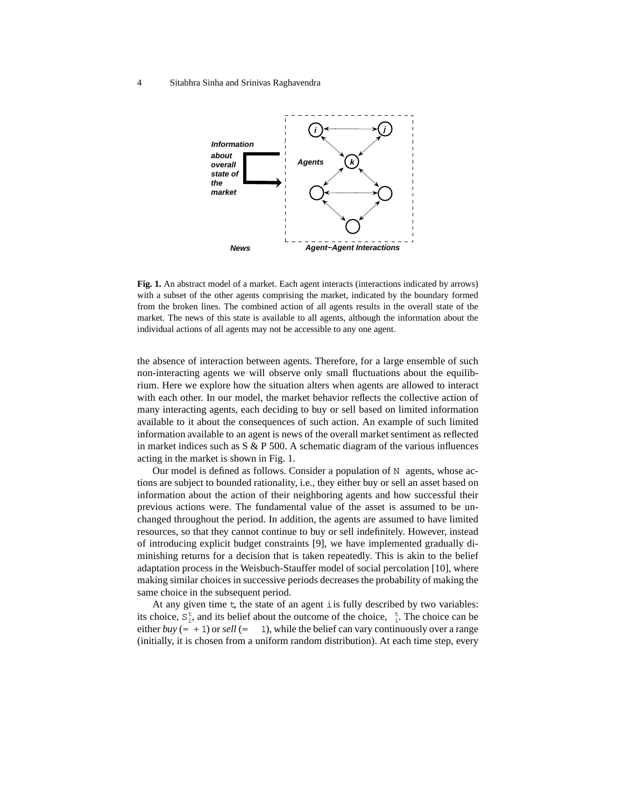#### 4 Sitabhra Sinha and Srinivas Raghavendra



**Fig. 1.** An abstract model of a market. Each agent interacts (interactions indicated by arrows) with a subset of the other agents comprising the market, indicated by the boundary formed from the broken lines. The combined action of all agents results in the overall state of the market. The news of this state is available to all agents, although the information about the individual actions of all agents may not be accessible to any one agent.

the absence of interaction between agents. Therefore, for a large ensemble of such non-interacting agents we will observe only small fluctuations about the equilibrium. Here we explore how the situation alters when agents are allowed to interact with each other. In our model, the market behavior reflects the collective action of many interacting agents, each deciding to buy or sell based on limited information available to it about the consequences of such action. An example of such limited information available to an agent is news of the overall market sentiment as reflected in market indices such as  $S \& P 500$ . A schematic diagram of the various influences acting in the market is shown in Fig. 1.

Our model is defined as follows. Consider a population of N agents, whose actions are subject to bounded rationality, i.e., they either buy or sell an asset based on information about the action of their neighboring agents and how successful their previous actions were. The fundamental value of the asset is assumed to be unchanged throughout the period. In addition, the agents are assumed to have limited resources, so that they cannot continue to buy or sell indefinitely. However, instead of introducing explicit budget constraints [9], we have implemented gradually diminishing returns for a decision that is taken repeatedly. This is akin to the belief adaptation process in the Weisbuch-Stauffer model of social percolation [10], where making similar choices in successive periods decreases the probability of making the same choice in the subsequent period.

At any given time  $t$ , the state of an agent iis fully described by two variables: its choice,  $S_i^t$ , and its belief about the outcome of the choice,  $\frac{t}{i}$ . The choice can be either  $buy (= + 1)$  or  $sell (= 1)$ , while the belief can vary continuously over a range (initially, it is chosen from a uniform random distribution). At each time step, every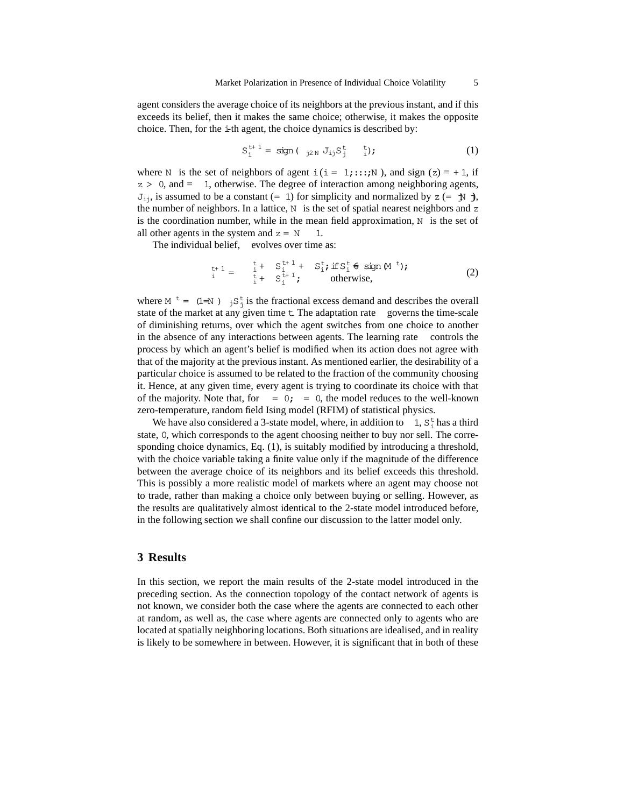agent considers the average choice of its neighbors at the previous instant, and if this exceeds its belief, then it makes the same choice; otherwise, it makes the opposite choice. Then, for the i-th agent, the choice dynamics is described by:

$$
S_i^{t+1} = \text{sign} \left( \begin{array}{cc} 1 \\ 1 \end{array} S_i^t \right) \left( \begin{array}{cc} 1 \\ 1 \end{array} \right)
$$

where N is the set of neighbors of agent  $i(i = 1; \dots; N)$ , and sign  $(z) = +1$ , if  $z > 0$ , and  $z = 1$ , otherwise. The degree of interaction among neighboring agents,  $J_{ij}$ , is assumed to be a constant (= 1) for simplicity and normalized by z (=  $\mathcal{N}$ ), the number of neighbors. In a lattice, N is the set of spatial nearest neighbors and z is the coordination number, while in the mean field approximation, N is the set of all other agents in the system and  $z = N$  1.

The individual belief, evolves over time as:

$$
\begin{array}{rcl}\n\mathbf{t} + 1 & = & \mathbf{t} + \mathbf{S}_1^{\mathsf{t} + 1} + \mathbf{S}_1^{\mathsf{t}} \mathbf{y} \mathbf{f} \mathbf{S}_1^{\mathsf{t}} \mathbf{\in} \mathbf{S}_2^{\mathsf{t}} \mathbf{\in} \mathbf{S}_1^{\mathsf{t}} \mathbf{\in} \mathbf{S}_1^{\mathsf{t}} \mathbf{\in} \mathbf{S}_1^{\mathsf{t}} \mathbf{\in} \mathbf{S}_1^{\mathsf{t}} \mathbf{\in} \mathbf{S}_1^{\mathsf{t}} \mathbf{\in} \mathbf{S}_1^{\mathsf{t}}\n\end{array} \tag{2}
$$

where M<sup>t</sup> = (1=N)  $jS_j^t$  is the fractional excess demand and describes the overall state of the market at any given time  $t$ . The adaptation rate governs the time-scale of diminishing returns, over which the agent switches from one choice to another in the absence of any interactions between agents. The learning rate controls the process by which an agent's belief is modified when its action does not agree with that of the majority at the previous instant. As mentioned earlier, the desirability of a particular choice is assumed to be related to the fraction of the community choosing it. Hence, at any given time, every agent is trying to coordinate its choice with that of the majority. Note that, for  $= 0$ ;  $= 0$ , the model reduces to the well-known zero-temperature, random field Ising model (RFIM) of statistical physics.

We have also considered a 3-state model, where, in addition to  $1, S_i^t$  has a third state, 0, which corresponds to the agent choosing neither to buy nor sell. The corresponding choice dynamics, Eq. (1), is suitably modified by introducing a threshold, with the choice variable taking a finite value only if the magnitude of the difference between the average choice of its neighbors and its belief exceeds this threshold. This is possibly a more realistic model of markets where an agent may choose not to trade, rather than making a choice only between buying or selling. However, as the results are qualitatively almost identical to the 2-state model introduced before, in the following section we shall confine our discussion to the latter model only.

## **3 Results**

In this section, we report the main results of the 2-state model introduced in the preceding section. As the connection topology of the contact network of agents is not known, we consider both the case where the agents are connected to each other at random, as well as, the case where agents are connected only to agents who are located at spatially neighboring locations. Both situations are idealised, and in reality is likely to be somewhere in between. However, it is significant that in both of these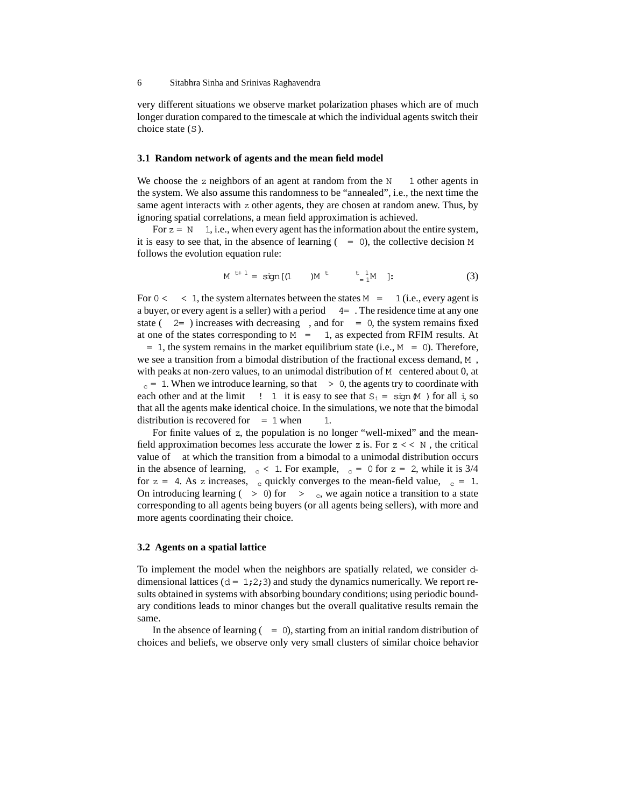very different situations we observe market polarization phases which are of much longer duration compared to the timescale at which the individual agents switch their choice state (S).

#### **3.1 Random network of agents and the mean field model**

We choose the z neighbors of an agent at random from the  $N = 1$  other agents in the system. We also assume this randomness to be "annealed", i.e., the next time the same agent interacts with z other agents, they are chosen at random anew. Thus, by ignoring spatial correlations, a mean field approximation is achieved.

For  $z = N$  1, i.e., when every agent has the information about the entire system, it is easy to see that, in the absence of learning  $( = 0)$ , the collective decision M follows the evolution equation rule:

$$
M^{t+1} = sign[(1)M^{t} t_{=1}^{t}M];
$$
 (3)

For  $0 <$  < 1, the system alternates between the states  $M = 1$  (i.e., every agent is a buyer, or every agent is a seller) with a period  $4=$  The residence time at any one state ( $2=$ ) increases with decreasing , and for = 0, the system remains fixed at one of the states corresponding to  $M = 1$ , as expected from RFIM results. At

 $= 1$ , the system remains in the market equilibrium state (i.e.,  $M = 0$ ). Therefore, we see a transition from a bimodal distribution of the fractional excess demand, M , with peaks at non-zero values, to an unimodal distribution of M centered about 0, at

 $c_c = 1$ . When we introduce learning, so that  $\geq 0$ , the agents try to coordinate with each other and at the limit ! 1 it is easy to see that  $S_i = \text{sign}(\mathbb{M})$  for all i, so that all the agents make identical choice. In the simulations, we note that the bimodal distribution is recovered for  $= 1$  when 1.

For finite values of z, the population is no longer "well-mixed" and the meanfield approximation becomes less accurate the lower z is. For  $z \leq N$ , the critical value of at which the transition from a bimodal to a unimodal distribution occurs in the absence of learning,  $\epsilon$  < 1. For example,  $\epsilon$  = 0 for z = 2, while it is 3/4 for  $z = 4$ . As z increases, c quickly converges to the mean-field value,  $c = 1$ . On introducing learning ( $\gt$  0) for  $\gt$  <sub>c</sub>, we again notice a transition to a state corresponding to all agents being buyers (or all agents being sellers), with more and more agents coordinating their choice.

#### **3.2 Agents on a spatial lattice**

To implement the model when the neighbors are spatially related, we consider ddimensional lattices ( $d = 1,2;3$ ) and study the dynamics numerically. We report results obtained in systems with absorbing boundary conditions; using periodic boundary conditions leads to minor changes but the overall qualitative results remain the same.

In the absence of learning  $( = 0)$ , starting from an initial random distribution of choices and beliefs, we observe only very small clusters of similar choice behavior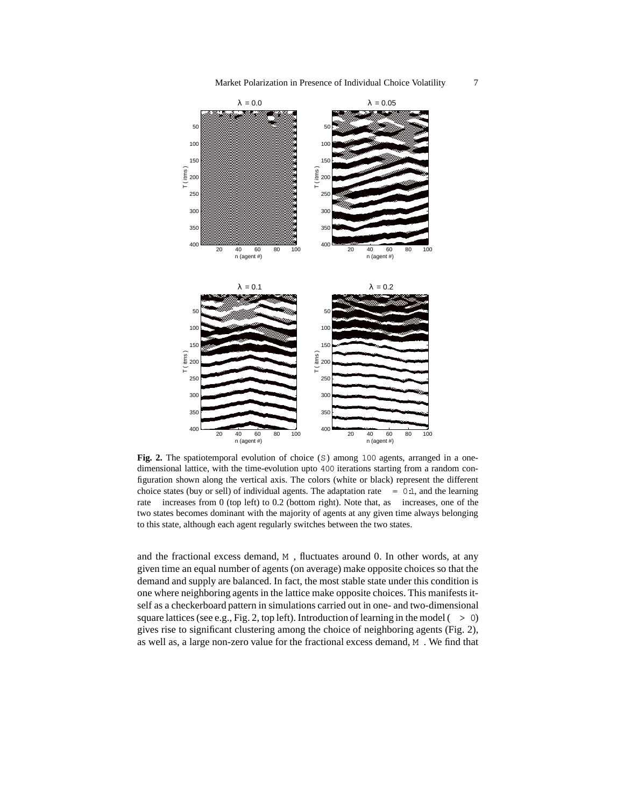

**Fig. 2.** The spatiotemporal evolution of choice (S) among 100 agents, arranged in a onedimensional lattice, with the time-evolution upto 400 iterations starting from a random configuration shown along the vertical axis. The colors (white or black) represent the different choice states (buy or sell) of individual agents. The adaptation rate  $= 0:1$ , and the learning rate increases from 0 (top left) to 0.2 (bottom right). Note that, as increases, one of the two states becomes dominant with the majority of agents at any given time always belonging to this state, although each agent regularly switches between the two states.

and the fractional excess demand, M , fluctuates around 0. In other words, at any given time an equal number of agents (on average) make opposite choices so that the demand and supply are balanced. In fact, the most stable state under this condition is one where neighboring agents in the lattice make opposite choices. This manifests itself as a checkerboard pattern in simulations carried out in one- and two-dimensional square lattices (see e.g., Fig. 2, top left). Introduction of learning in the model ( $> 0$ ) gives rise to significant clustering among the choice of neighboring agents (Fig. 2), as well as, a large non-zero value for the fractional excess demand, M . We find that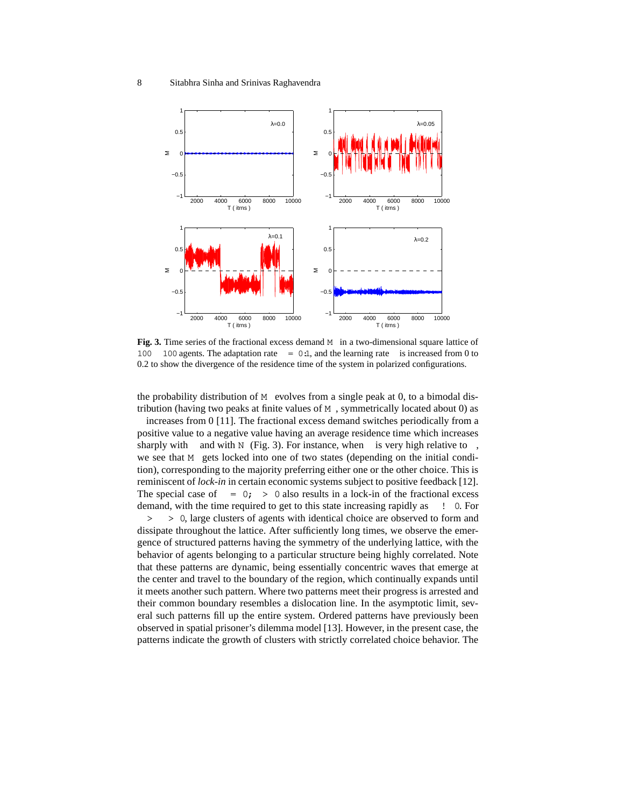

**Fig. 3.** Time series of the fractional excess demand M in a two-dimensional square lattice of 100 100 agents. The adaptation rate  $= 0:1$ , and the learning rate is increased from 0 to 0.2 to show the divergence of the residence time of the system in polarized configurations.

the probability distribution of  $M$  evolves from a single peak at 0, to a bimodal distribution (having two peaks at finite values of M , symmetrically located about 0) as

increases from 0 [11]. The fractional excess demand switches periodically from a positive value to a negative value having an average residence time which increases sharply with and with  $N$  (Fig. 3). For instance, when is very high relative to, we see that M gets locked into one of two states (depending on the initial condition), corresponding to the majority preferring either one or the other choice. This is reminiscent of *lock-in* in certain economic systems subject to positive feedback [12]. The special case of  $= 0$ ;  $> 0$  also results in a lock-in of the fractional excess demand, with the time required to get to this state increasing rapidly as ! 0. For > > 0, large clusters of agents with identical choice are observed to form and dissipate throughout the lattice. After sufficiently long times, we observe the emergence of structured patterns having the symmetry of the underlying lattice, with the behavior of agents belonging to a particular structure being highly correlated. Note that these patterns are dynamic, being essentially concentric waves that emerge at the center and travel to the boundary of the region, which continually expands until it meets another such pattern. Where two patterns meet their progress is arrested and their common boundary resembles a dislocation line. In the asymptotic limit, several such patterns fill up the entire system. Ordered patterns have previously been observed in spatial prisoner's dilemma model [13]. However, in the present case, the patterns indicate the growth of clusters with strictly correlated choice behavior. The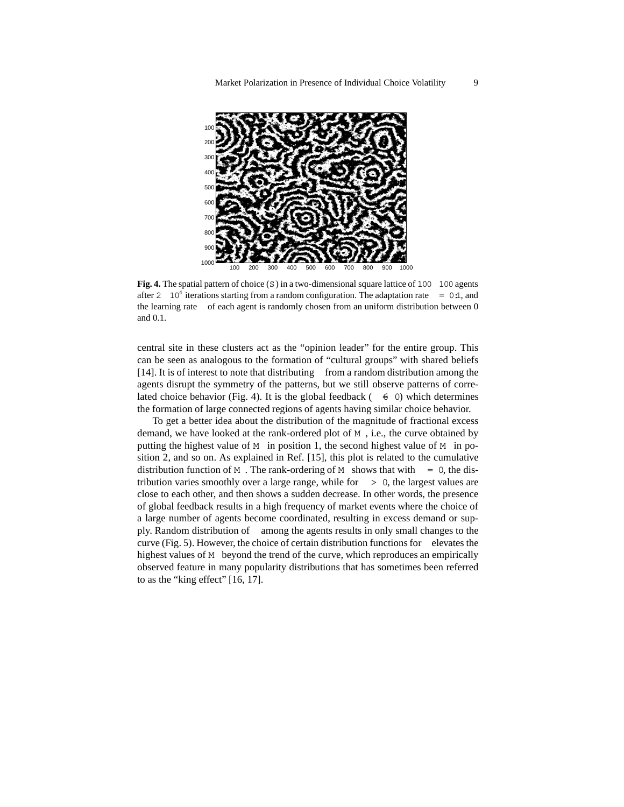

100 200 300 400 500 600 700 800 900 1000

**Fig. 4.** The spatial pattern of choice (S) in a two-dimensional square lattice of 100 100 agents after 2  $10^4$  iterations starting from a random configuration. The adaptation rate = 0:1, and the learning rate of each agent is randomly chosen from an uniform distribution between 0 and 0.1.

central site in these clusters act as the "opinion leader" for the entire group. This can be seen as analogous to the formation of "cultural groups" with shared beliefs [14]. It is of interest to note that distributing from a random distribution among the agents disrupt the symmetry of the patterns, but we still observe patterns of correlated choice behavior (Fig. 4). It is the global feedback  $(6, 6)$  which determines the formation of large connected regions of agents having similar choice behavior.

To get a better idea about the distribution of the magnitude of fractional excess demand, we have looked at the rank-ordered plot of M , i.e., the curve obtained by putting the highest value of M in position 1, the second highest value of M in position 2, and so on. As explained in Ref. [15], this plot is related to the cumulative distribution function of M. The rank-ordering of M. shows that with = 0, the distribution varies smoothly over a large range, while for  $\gt 0$ , the largest values are close to each other, and then shows a sudden decrease. In other words, the presence of global feedback results in a high frequency of market events where the choice of a large number of agents become coordinated, resulting in excess demand or supply. Random distribution of among the agents results in only small changes to the curve (Fig. 5). However, the choice of certain distribution functions for elevates the highest values of M beyond the trend of the curve, which reproduces an empirically observed feature in many popularity distributions that has sometimes been referred to as the "king effect" [16, 17].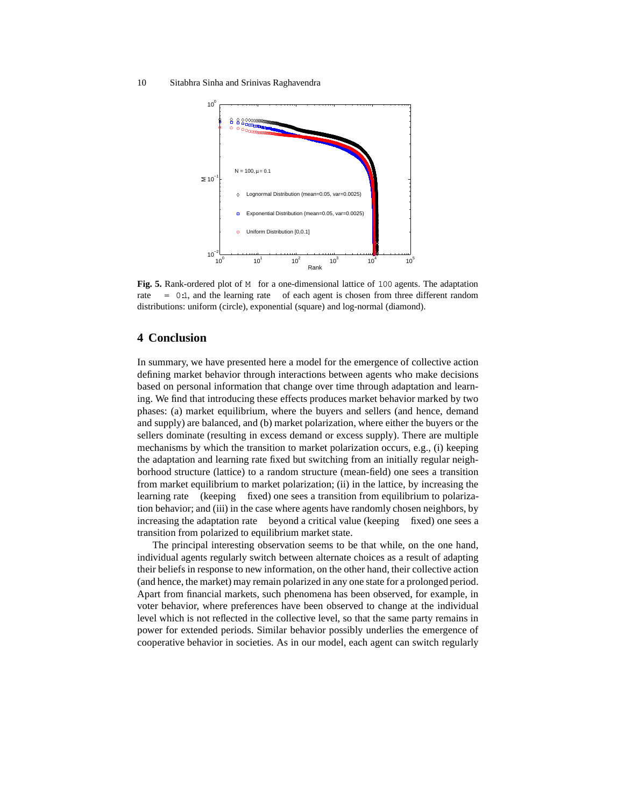10 Sitabhra Sinha and Srinivas Raghavendra



**Fig. 5.** Rank-ordered plot of M for a one-dimensional lattice of 100 agents. The adaptation rate = 0:1, and the learning rate of each agent is chosen from three different random distributions: uniform (circle), exponential (square) and log-normal (diamond).

# **4 Conclusion**

In summary, we have presented here a model for the emergence of collective action defining market behavior through interactions between agents who make decisions based on personal information that change over time through adaptation and learning. We find that introducing these effects produces market behavior marked by two phases: (a) market equilibrium, where the buyers and sellers (and hence, demand and supply) are balanced, and (b) market polarization, where either the buyers or the sellers dominate (resulting in excess demand or excess supply). There are multiple mechanisms by which the transition to market polarization occurs, e.g., (i) keeping the adaptation and learning rate fixed but switching from an initially regular neighborhood structure (lattice) to a random structure (mean-field) one sees a transition from market equilibrium to market polarization; (ii) in the lattice, by increasing the learning rate (keeping fixed) one sees a transition from equilibrium to polarization behavior; and (iii) in the case where agents have randomly chosen neighbors, by increasing the adaptation rate beyond a critical value (keeping fixed) one sees a transition from polarized to equilibrium market state.

The principal interesting observation seems to be that while, on the one hand, individual agents regularly switch between alternate choices as a result of adapting their beliefs in response to new information, on the other hand, their collective action (and hence, the market) may remain polarized in any one state for a prolonged period. Apart from financial markets, such phenomena has been observed, for example, in voter behavior, where preferences have been observed to change at the individual level which is not reflected in the collective level, so that the same party remains in power for extended periods. Similar behavior possibly underlies the emergence of cooperative behavior in societies. As in our model, each agent can switch regularly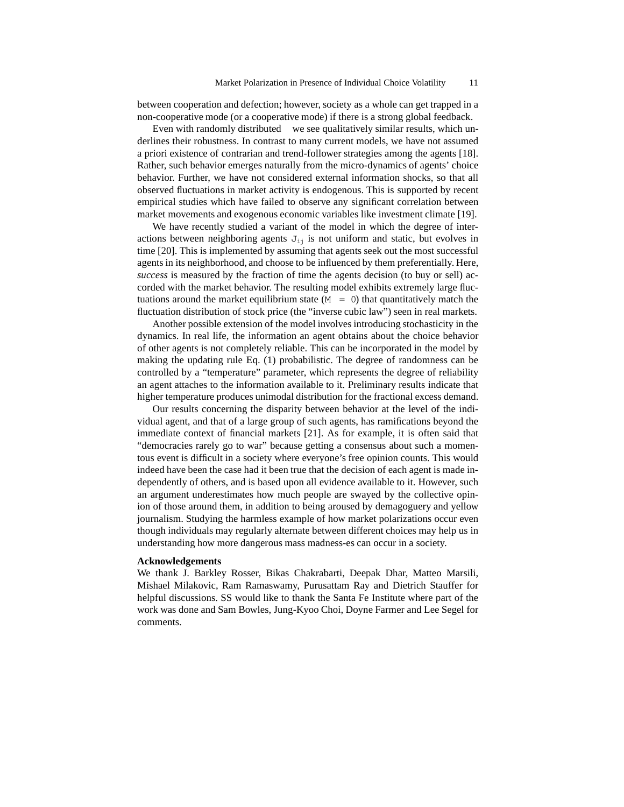between cooperation and defection; however, society as a whole can get trapped in a non-cooperative mode (or a cooperative mode) if there is a strong global feedback.

Even with randomly distributed we see qualitatively similar results, which underlines their robustness. In contrast to many current models, we have not assumed a priori existence of contrarian and trend-follower strategies among the agents [18]. Rather, such behavior emerges naturally from the micro-dynamics of agents' choice behavior. Further, we have not considered external information shocks, so that all observed fluctuations in market activity is endogenous. This is supported by recent empirical studies which have failed to observe any significant correlation between market movements and exogenous economic variables like investment climate [19].

We have recently studied a variant of the model in which the degree of interactions between neighboring agents  $J_{11}$  is not uniform and static, but evolves in time [20]. This is implemented by assuming that agents seek out the most successful agents in its neighborhood, and choose to be influenced by them preferentially. Here, *success* is measured by the fraction of time the agents decision (to buy or sell) accorded with the market behavior. The resulting model exhibits extremely large fluctuations around the market equilibrium state ( $M = 0$ ) that quantitatively match the fluctuation distribution of stock price (the "inverse cubic law") seen in real markets.

Another possible extension of the model involves introducing stochasticity in the dynamics. In real life, the information an agent obtains about the choice behavior of other agents is not completely reliable. This can be incorporated in the model by making the updating rule Eq. (1) probabilistic. The degree of randomness can be controlled by a "temperature" parameter, which represents the degree of reliability an agent attaches to the information available to it. Preliminary results indicate that higher temperature produces unimodal distribution for the fractional excess demand.

Our results concerning the disparity between behavior at the level of the individual agent, and that of a large group of such agents, has ramifications beyond the immediate context of financial markets [21]. As for example, it is often said that "democracies rarely go to war" because getting a consensus about such a momentous event is difficult in a society where everyone's free opinion counts. This would indeed have been the case had it been true that the decision of each agent is made independently of others, and is based upon all evidence available to it. However, such an argument underestimates how much people are swayed by the collective opinion of those around them, in addition to being aroused by demagoguery and yellow journalism. Studying the harmless example of how market polarizations occur even though individuals may regularly alternate between different choices may help us in understanding how more dangerous mass madness-es can occur in a society.

#### **Acknowledgements**

We thank J. Barkley Rosser, Bikas Chakrabarti, Deepak Dhar, Matteo Marsili, Mishael Milakovic, Ram Ramaswamy, Purusattam Ray and Dietrich Stauffer for helpful discussions. SS would like to thank the Santa Fe Institute where part of the work was done and Sam Bowles, Jung-Kyoo Choi, Doyne Farmer and Lee Segel for comments.